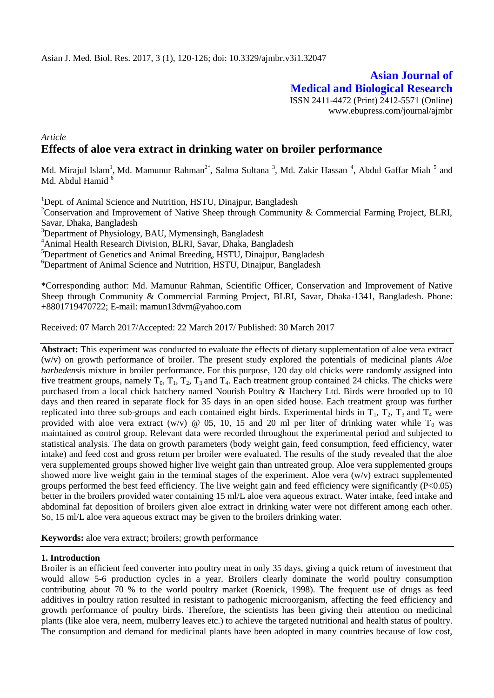**Asian Journal of Medical and Biological Research** ISSN 2411-4472 (Print) 2412-5571 (Online) www.ebupress.com/journal/ajmbr

# *Article* **Effects of aloe vera extract in drinking water on broiler performance**

Md. Mirajul Islam<sup>1</sup>, Md. Mamunur Rahman<sup>2\*</sup>, Salma Sultana<sup>3</sup>, Md. Zakir Hassan<sup>4</sup>, Abdul Gaffar Miah<sup>5</sup> and Md. Abdul Hamid  $<sup>6</sup>$ </sup>

<sup>1</sup>Dept. of Animal Science and Nutrition, HSTU, Dinajpur, Bangladesh

<sup>2</sup>Conservation and Improvement of Native Sheep through Community & Commercial Farming Project, BLRI, Savar, Dhaka, Bangladesh

<sup>3</sup>Department of Physiology, BAU, Mymensingh, Bangladesh

<sup>4</sup>Animal Health Research Division, BLRI, Savar, Dhaka, Bangladesh

 ${}^{5}$ Department of Genetics and Animal Breeding, HSTU, Dinajpur, Bangladesh

 ${}^{6}$ Department of Animal Science and Nutrition, HSTU, Dinajpur, Bangladesh

\*Corresponding author: Md. Mamunur Rahman, Scientific Officer, Conservation and Improvement of Native Sheep through Community & Commercial Farming Project, BLRI, Savar, Dhaka-1341, Bangladesh. Phone: +8801719470722; E-mail: mamun13dvm@yahoo.com

Received: 07 March 2017/Accepted: 22 March 2017/ Published: 30 March 2017

**Abstract:** This experiment was conducted to evaluate the effects of dietary supplementation of aloe vera extract (w/v) on growth performance of broiler. The present study explored the potentials of medicinal plants *Aloe barbedensis* mixture in broiler performance. For this purpose, 120 day old chicks were randomly assigned into five treatment groups, namely  $T_0$ ,  $T_1$ ,  $T_2$ ,  $T_3$  and  $T_4$ . Each treatment group contained 24 chicks. The chicks were purchased from a local chick hatchery named Nourish Poultry & Hatchery Ltd. Birds were brooded up to 10 days and then reared in separate flock for 35 days in an open sided house. Each treatment group was further replicated into three sub-groups and each contained eight birds. Experimental birds in  $T_1$ ,  $T_2$ ,  $T_3$  and  $T_4$  were provided with aloe vera extract (w/v)  $\omega$  05, 10, 15 and 20 ml per liter of drinking water while T<sub>0</sub> was maintained as control group. Relevant data were recorded throughout the experimental period and subjected to statistical analysis. The data on growth parameters (body weight gain, feed consumption, feed efficiency, water intake) and feed cost and gross return per broiler were evaluated. The results of the study revealed that the aloe vera supplemented groups showed higher live weight gain than untreated group. Aloe vera supplemented groups showed more live weight gain in the terminal stages of the experiment. Aloe vera (w/v) extract supplemented groups performed the best feed efficiency. The live weight gain and feed efficiency were significantly (P<0.05) better in the broilers provided water containing 15 ml/L aloe vera aqueous extract. Water intake, feed intake and abdominal fat deposition of broilers given aloe extract in drinking water were not different among each other. So, 15 ml/L aloe vera aqueous extract may be given to the broilers drinking water.

**Keywords:** aloe vera extract; broilers; growth performance

## **1. Introduction**

Broiler is an efficient feed converter into poultry meat in only 35 days, giving a quick return of investment that would allow 5-6 production cycles in a year. Broilers clearly dominate the world poultry consumption contributing about 70 % to the world poultry market (Roenick, 1998). The frequent use of drugs as feed additives in poultry ration resulted in resistant to pathogenic microorganism, affecting the feed efficiency and growth performance of poultry birds. Therefore, the scientists has been giving their attention on medicinal plants (like aloe vera, neem, mulberry leaves etc.) to achieve the targeted nutritional and health status of poultry. The consumption and demand for medicinal plants have been adopted in many countries because of low cost,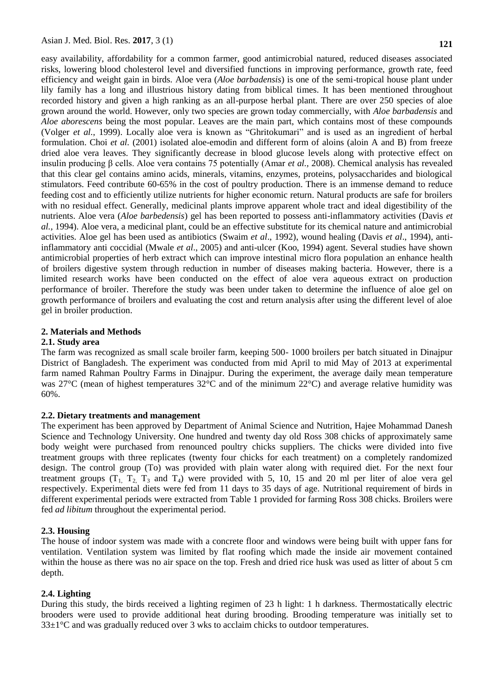easy availability, affordability for a common farmer, good antimicrobial natured, reduced diseases associated risks, lowering blood cholesterol level and diversified functions in improving performance, growth rate, feed efficiency and weight gain in birds. Aloe vera (*Aloe barbadensis*) is one of the semi-tropical house plant under lily family has a long and illustrious history dating from biblical times. It has been mentioned throughout recorded history and given a high ranking as an all-purpose herbal plant. There are over 250 species of aloe grown around the world. However, only two species are grown today commercially, with *Aloe barbadensis* and *Aloe aborescens* being the most popular. Leaves are the main part, which contains most of these compounds [\(Volger](http://scialert.net/fulltext/?doi=ijp.2011.419.439&org=11#577168_ja) *et al.,* 1999). Locally [aloe vera](http://www.scialert.net/asci/result.php?searchin=Keywords&cat=&ascicat=ALL&Submit=Search&keyword=Aloe+vera) is known as "Ghritokumari" and is used as an ingredient of herbal formulation. Choi *et al.* [\(2001\)](http://scialert.net/fulltext/?doi=ijp.2011.419.439&org=11#770304_ja) isolated aloe-emodin and different form of aloins (aloin A and B) from freeze dried aloe vera leaves. They significantly decrease in [blood glucose](http://www.scialert.net/asci/result.php?searchin=Keywords&cat=&ascicat=ALL&Submit=Search&keyword=blood+glucose) levels along with protective effect on insulin producing β cells. Aloe vera contains 75 potentially (Amar *et al.,* 2008). Chemical analysis has revealed that this clear gel contains amino acids, minerals, vitamins, enzymes, proteins, polysaccharides and biological stimulators. Feed contribute 60-65% in the cost of poultry production. There is an immense demand to reduce feeding cost and to efficiently utilize nutrients for higher economic return. Natural products are safe for broilers with no residual effect. Generally, medicinal plants improve apparent whole tract and ideal digestibility of the nutrients. Aloe vera (*Aloe barbedensis*) gel has been reported to possess anti-inflammatory activities (Davis *et al.,* 1994). Aloe vera, a medicinal plant, could be an effective substitute for its chemical nature and antimicrobial activities. Aloe gel has been used as antibiotics (Swaim *et al*., 1992), wound healing (Davis *et al*., 1994), antiinflammatory anti coccidial (Mwale *et al*., 2005) and anti-ulcer (Koo, 1994) agent. Several studies have shown antimicrobial properties of herb extract which can improve intestinal micro flora population an enhance health of broilers digestive system through reduction in number of diseases making bacteria. However, there is a limited research works have been conducted on the effect of aloe vera aqueous extract on production performance of broiler. Therefore the study was been under taken to determine the influence of aloe gel on growth performance of broilers and evaluating the cost and return analysis after using the different level of aloe gel in broiler production.

## **2. Materials and Methods**

#### **2.1. Study area**

The farm was recognized as small scale broiler farm, keeping 500- 1000 broilers per batch situated in Dinajpur District of Bangladesh. The experiment was conducted from mid April to mid May of 2013 at experimental farm named Rahman Poultry Farms in Dinajpur. During the experiment, the average daily mean temperature was 27°C (mean of highest temperatures 32°C and of the minimum 22°C) and average relative humidity was 60%.

#### **2.2. Dietary treatments and management**

The experiment has been approved by Department of Animal Science and Nutrition, Hajee Mohammad Danesh Science and Technology University. One hundred and twenty day old Ross 308 chicks of approximately same body weight were purchased from renounced poultry chicks suppliers. The chicks were divided into five treatment groups with three replicates (twenty four chicks for each treatment) on a completely randomized design. The control group (To) was provided with plain water along with required diet. For the next four treatment groups  $(T_1, T_2, T_3, T_4)$  were provided with 5, 10, 15 and 20 ml per liter of aloe vera gel respectively. Experimental diets were fed from 11 days to 35 days of age. Nutritional requirement of birds in different experimental periods were extracted from Table 1 provided for farming Ross 308 chicks. Broilers were fed *ad libitum* throughout the experimental period.

## **2.3. Housing**

The house of indoor system was made with a concrete floor and windows were being built with upper fans for ventilation. Ventilation system was limited by flat roofing which made the inside air movement contained within the house as there was no air space on the top. Fresh and dried rice husk was used as litter of about 5 cm depth.

## **2.4. Lighting**

During this study, the birds received a lighting regimen of 23 h light: 1 h darkness. Thermostatically electric brooders were used to provide additional heat during brooding. Brooding temperature was initially set to  $33\pm1\degree$ C and was gradually reduced over 3 wks to acclaim chicks to outdoor temperatures.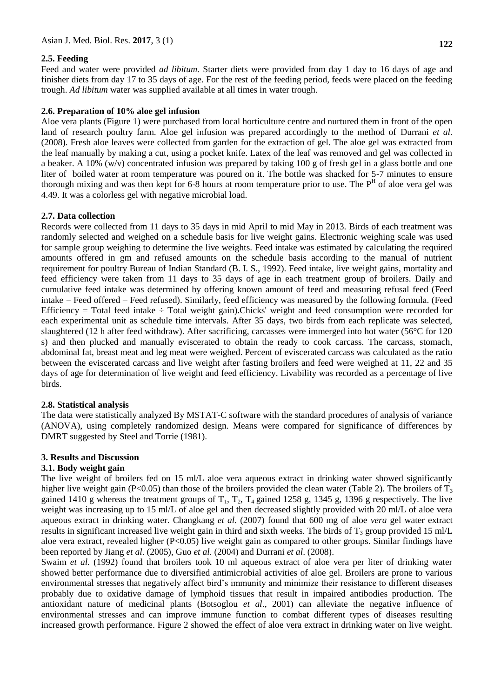## **2.5. Feeding**

Feed and water were provided *ad libitum.* Starter diets were provided from day 1 day to 16 days of age and finisher diets from day 17 to 35 days of age. For the rest of the feeding period, feeds were placed on the feeding trough. *Ad libitum* water was supplied available at all times in water trough.

## **2.6. Preparation of 10% aloe gel infusion**

Aloe vera plants (Figure 1) were purchased from local horticulture centre and nurtured them in front of the open land of research poultry farm. Aloe gel infusion was prepared accordingly to the method of Durrani *et al.* (2008). Fresh aloe leaves were collected from garden for the extraction of gel. The aloe gel was extracted from the leaf manually by making a cut, using a pocket knife. Latex of the leaf was removed and gel was collected in a beaker. A 10% (w/v) concentrated infusion was prepared by taking 100 g of fresh gel in a glass bottle and one liter of boiled water at room temperature was poured on it. The bottle was shacked for 5-7 minutes to ensure thorough mixing and was then kept for 6-8 hours at room temperature prior to use. The  $P<sup>H</sup>$  of aloe vera gel was 4.49. It was a colorless gel with negative microbial load.

## **2.7. Data collection**

Records were collected from 11 days to 35 days in mid April to mid May in 2013. Birds of each treatment was randomly selected and weighed on a schedule basis for live weight gains. Electronic weighing scale was used for sample group weighing to determine the live weights. Feed intake was estimated by calculating the required amounts offered in gm and refused amounts on the schedule basis according to the manual of nutrient requirement for poultry Bureau of Indian Standard (B. I. S., 1992). Feed intake, live weight gains, mortality and feed efficiency were taken from 11 days to 35 days of age in each treatment group of broilers. Daily and cumulative feed intake was determined by offering known amount of feed and measuring refusal feed (Feed intake = Feed offered – Feed refused). Similarly, feed efficiency was measured by the following formula. (Feed Efficiency  $=$  Total feed intake  $\div$  Total weight gain).Chicks' weight and feed consumption were recorded for each experimental unit as schedule time intervals. After 35 days, two birds from each replicate was selected, slaughtered (12 h after feed withdraw). After sacrificing, carcasses were immerged into hot water (56°C for 120 s) and then plucked and manually eviscerated to obtain the ready to cook carcass. The carcass, stomach, abdominal fat, breast meat and leg meat were weighed. Percent of eviscerated carcass was calculated as the ratio between the eviscerated carcass and live weight after fasting broilers and feed were weighed at 11, 22 and 35 days of age for determination of live weight and feed efficiency. Livability was recorded as a percentage of live birds.

## **2.8. Statistical analysis**

The data were statistically analyzed By MSTAT-C software with the standard procedures of analysis of variance (ANOVA), using completely randomized design. Means were compared for significance of differences by DMRT suggested by Steel and Torrie (1981).

## **3. Results and Discussion**

## **3.1. Body weight gain**

The live weight of broilers fed on 15 ml/L aloe vera aqueous extract in drinking water showed significantly higher live weight gain (P<0.05) than those of the broilers provided the clean water (Table 2). The broilers of  $T_3$ gained 1410 g whereas the treatment groups of  $T_1$ ,  $T_2$ ,  $T_4$  gained 1258 g, 1345 g, 1396 g respectively. The live weight was increasing up to 15 ml/L of aloe gel and then decreased slightly provided with 20 ml/L of aloe vera aqueous extract in drinking water. [Changkang](http://www.aspajournal.it/index.php/ijas/article/view/ijas.2011.e36/html#9) *et al.* (2007) found that 600 mg of aloe *vera* gel water extract results in significant increased live weight gain in third and sixth weeks. The birds of  $T_3$  group provided 15 ml/L aloe vera extract, revealed higher  $(P<0.05)$  live weight gain as compared to other groups. Similar findings have been reported by Jiang *et al*. (2005), Guo *et al.* (2004) and Durrani *et al*. (2008).

Swaim *et al.* (1992) found that broilers took 10 ml aqueous extract of aloe vera per liter of drinking water showed better performance due to diversified antimicrobial activities of aloe gel. Broilers are prone to various environmental stresses that negatively affect bird's immunity and minimize their resistance to different diseases probably due to oxidative damage of lymphoid tissues that result in impaired antibodies production. The antioxidant nature of medicinal plants (Botsoglou *et al*., 2001) can alleviate the negative influence of environmental stresses and can improve immune function to combat different types of diseases resulting increased growth performance. Figure 2 showed the effect of aloe vera extract in drinking water on live weight.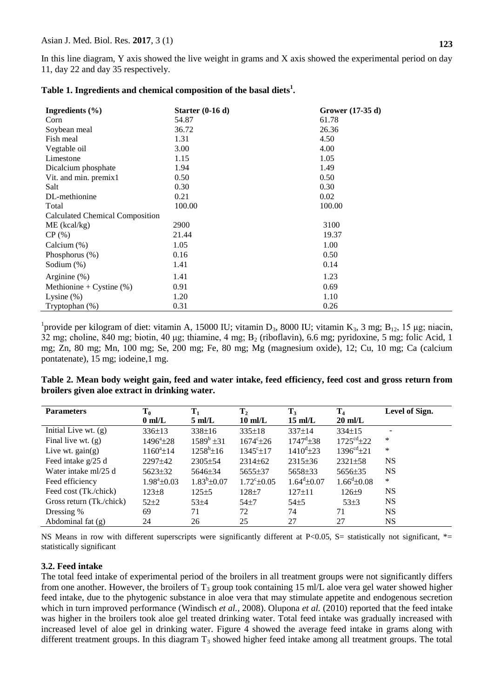In this line diagram, Y axis showed the live weight in grams and X axis showed the experimental period on day 11, day 22 and day 35 respectively.

| Ingredients $(\% )$                    | Starter $(0-16d)$ | Grower $(17-35 d)$ |  |  |
|----------------------------------------|-------------------|--------------------|--|--|
| Corn                                   | 54.87             | 61.78              |  |  |
| Soybean meal                           | 36.72             | 26.36              |  |  |
| Fish meal                              | 1.31              | 4.50               |  |  |
| Vegtable oil                           | 3.00              | 4.00               |  |  |
| Limestone                              | 1.15              | 1.05               |  |  |
| Dicalcium phosphate                    | 1.94              | 1.49               |  |  |
| Vit. and min. premix1                  | 0.50              | 0.50               |  |  |
| Salt                                   | 0.30              | 0.30               |  |  |
| DL-methionine                          | 0.21              | 0.02               |  |  |
| Total                                  | 100.00            | 100.00             |  |  |
| <b>Calculated Chemical Composition</b> |                   |                    |  |  |
| $ME$ (kcal/kg)                         | 2900              | 3100               |  |  |
| CP(%)                                  | 21.44             | 19.37              |  |  |
| Calcium (%)                            | 1.05              | 1.00               |  |  |
| Phosphorus $(\%)$                      | 0.16              | 0.50               |  |  |
| Sodium $(\%)$                          | 1.41              | 0.14               |  |  |
| Arginine $(\%)$                        | 1.41              | 1.23               |  |  |
| Methionine + Cystine $(\%)$            | 0.91              | 0.69               |  |  |
| Lysine $(\%)$                          | 1.20              | 1.10               |  |  |
| Tryptophan (%)                         | 0.31              | 0.26               |  |  |

## **[Table 1.](http://www.aspajournal.it/index.php/ijas/article/viewFile/2198/html/11068) Ingredients and chemical composition of the basal diets<sup>1</sup> .**

<sup>1</sup> provide per kilogram of diet: vitamin A, 15000 IU; vitamin D<sub>3</sub>, 8000 IU; vitamin K<sub>3</sub>, 3 mg; B<sub>12</sub>, 15 µg; niacin, 32 mg; choline, 840 mg; biotin, 40 μg; thiamine, 4 mg; B<sup>2</sup> (riboflavin), 6.6 mg; pyridoxine, 5 mg; folic Acid, 1 mg; Zn, 80 mg; Mn, 100 mg; Se, 200 mg; Fe, 80 mg; Mg (magnesium oxide), 12; Cu, 10 mg; Ca (calcium pontatenate), 15 mg; iodeine,1 mg.

| Table 2. Mean body weight gain, feed and water intake, feed efficiency, feed cost and gross return from |  |  |
|---------------------------------------------------------------------------------------------------------|--|--|
| broilers given aloe extract in drinking water.                                                          |  |  |

| <b>Parameters</b>        | $T_0$                      | $T_1$             | $\mathbf{T}_2$       | $T_3$                      | T <sub>4</sub>           | Level of Sign. |
|--------------------------|----------------------------|-------------------|----------------------|----------------------------|--------------------------|----------------|
|                          | $0 \text{ ml/L}$           | $5 \text{ ml/L}$  | $10 \text{ ml/L}$    | $15 \text{ ml/L}$          | $20$ ml/L                |                |
| Initial Live wt. $(g)$   | $336 \pm 13$               | $338 \pm 16$      | $335 \pm 18$         | $337 \pm 14$               | $334 \pm 15$             | ٠              |
| Final live wt. $(g)$     | $1496^{\circ}$ ±28         | $1589^b \pm 31$   | $1674^{\circ}$ ±26   | $1747^{\rm d}$ $\pm$ 38    | $1725^{\text{cd}}\pm 22$ | ∗              |
| Live wt. $gain(g)$       | $1160^{\circ}$ ±14         | $1258^b \pm 16$   | $1345^{\circ}$ ± 17  | $1410^{\rm d}$ ±23         | $1396^{cd} \pm 21$       | ∗              |
| Feed intake g/25 d       | 2297±42                    | $2305 \pm 54$     | $2314 \pm 62$        | $2315 \pm 36$              | $2321 \pm 58$            | <b>NS</b>      |
| Water intake ml/25 d     | $5623 \pm 32$              | 5646±34           | $5655 \pm 37$        | $5658 \pm 33$              | 5656±35                  | <b>NS</b>      |
| Feed efficiency          | $1.98^{\mathrm{a}}\pm0.03$ | $1.83^b \pm 0.07$ | $1.72^{\circ}$ ±0.05 | $1.64^{\mathrm{d}}\pm0.07$ | $1.66^{\rm d}$ ±0.08     | $\ast$         |
| Feed cost (Tk./chick)    | $123 + 8$                  | $125 + 5$         | $128 + 7$            | $127 \pm 11$               | $126 + 9$                | <b>NS</b>      |
| Gross return (Tk./chick) | $52\pm2$                   | $53 + 4$          | $54+7$               | $54+5$                     | $53\pm3$                 | <b>NS</b>      |
| Dressing %               | 69                         | 71                | 72                   | 74                         | 71                       | <b>NS</b>      |
| Abdominal fat $(g)$      | 24                         | 26                | 25                   | 27                         | 27                       | <b>NS</b>      |

NS Means in row with different superscripts were significantly different at P<0.05, S= statistically not significant, \*= statistically significant

## **3.2. Feed intake**

The total feed intake of experimental period of the broilers in all treatment groups were not significantly differs from one another. However, the broilers of  $T_3$  group took containing 15 ml/L aloe vera gel water showed higher feed intake, due to the phytogenic substance in aloe vera that may stimulate appetite and endogenous secretion which in turn improved performance [\(Windisch](http://www.aspajournal.it/index.php/ijas/article/view/ijas.2011.e36/html#41) *et al.,* 2008). [Olupona](http://www.aspajournal.it/index.php/ijas/article/view/ijas.2011.e36/html#29) *et al.* (2010) reported that the feed intake was higher in the broilers took aloe gel treated drinking water. Total feed intake was gradually increased with increased level of aloe gel in drinking water. Figure 4 showed the average feed intake in grams along with different treatment groups. In this diagram  $T_3$  showed higher feed intake among all treatment groups. The total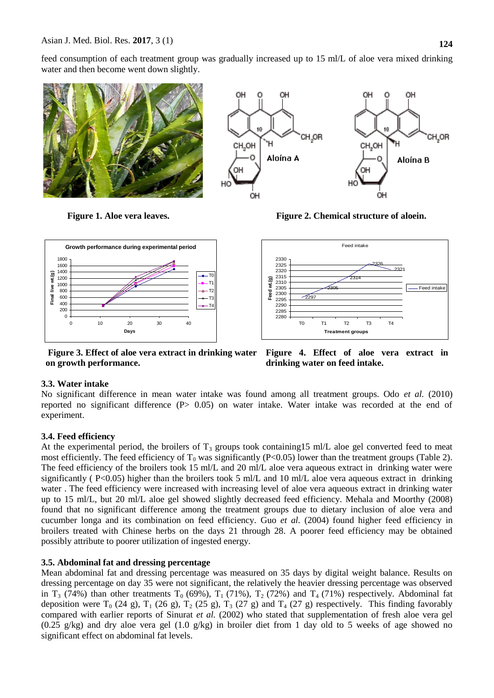feed consumption of each treatment group was gradually increased up to 15 ml/L of aloe vera mixed drinking water and then become went down slightly.



**Figure 1. Aloe vera leaves. Figure 2. Chemical structure of aloein.**



**Figure 3. Effect of aloe vera extract in drinking water on growth performance.**

**Figure 4. Effect of aloe vera extract in drinking water on feed intake.**

# **3.3. Water intake**

No significant difference in mean water intake was found among all treatment groups. Odo *et al.* (2010) reported no significant difference  $(P> 0.05)$  on water intake. Water intake was recorded at the end of experiment.

# **3.4. Feed efficiency**

At the experimental period, the broilers of  $T_3$  groups took containing15 ml/L aloe gel converted feed to meat most efficiently. The feed efficiency of  $T_0$  was significantly (P<0.05) lower than the treatment groups (Table 2). The feed efficiency of the broilers took 15 ml/L and 20 ml/L aloe vera aqueous extract in drinking water were significantly ( $P<0.05$ ) higher than the broilers took 5 ml/L and 10 ml/L aloe vera aqueous extract in drinking water. The feed efficiency were increased with increasing level of aloe vera aqueous extract in drinking water up to 15 ml/L, but 20 ml/L aloe gel showed slightly decreased feed efficiency. Mehala and Moorthy (2008) found that no significant difference among the treatment groups due to dietary inclusion of aloe vera and cucumber longa and its combination on feed efficiency. [Guo](http://www.aspajournal.it/index.php/ijas/article/view/ijas.2011.e36/html#18) *et al.* (2004) found higher feed efficiency in broilers treated with Chinese herbs on the days 21 through 28. A poorer feed efficiency may be obtained possibly attribute to poorer utilization of ingested energy.

# **3.5. Abdominal fat and dressing percentage**

Mean abdominal fat and dressing percentage was measured on 35 days by digital weight balance. Results on dressing percentage on day 35 were not significant, the relatively the heavier dressing percentage was observed in T<sub>3</sub> (74%) than other treatments T<sub>0</sub> (69%), T<sub>1</sub> (71%), T<sub>2</sub> (72%) and T<sub>4</sub> (71%) respectively. Abdominal fat deposition were  $T_0$  (24 g),  $T_1$  (26 g),  $T_2$  (25 g),  $T_3$  (27 g) and  $T_4$  (27 g) respectively. This finding favorably compared with earlier reports of Sinurat *et al.* (2002) who stated that supplementation of fresh aloe vera gel (0.25 g/kg) and dry aloe vera gel (1.0 g/kg) in broiler diet from 1 day old to 5 weeks of age showed no significant effect on abdominal fat levels.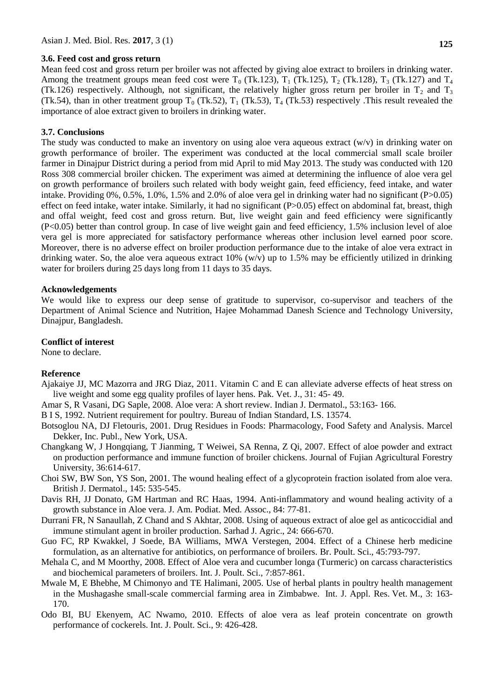#### **3.6. Feed cost and gross return**

Mean feed cost and gross return per broiler was not affected by giving aloe extract to broilers in drinking water. Among the treatment groups mean feed cost were  $T_0$  (Tk.123),  $T_1$  (Tk.125),  $T_2$  (Tk.128),  $T_3$  (Tk.127) and  $T_4$ (Tk.126) respectively. Although, not significant, the relatively higher gross return per broiler in  $T_2$  and  $T_3$ (Tk.54), than in other treatment group  $T_0$  (Tk.52),  $T_1$  (Tk.53),  $T_4$  (Tk.53) respectively . This result revealed the importance of aloe extract given to broilers in drinking water.

#### **3.7. Conclusions**

The study was conducted to make an inventory on using aloe vera aqueous extract  $(w/v)$  in drinking water on growth performance of broiler. The experiment was conducted at the local commercial small scale broiler farmer in Dinajpur District during a period from mid April to mid May 2013. The study was conducted with 120 Ross 308 commercial broiler chicken. The experiment was aimed at determining the influence of aloe vera gel on growth performance of broilers such related with body weight gain, feed efficiency, feed intake, and water intake. Providing 0%, 0.5%, 1.0%, 1.5% and 2.0% of aloe vera gel in drinking water had no significant (P>0.05) effect on feed intake, water intake. Similarly, it had no significant (P>0.05) effect on abdominal fat, breast, thigh and offal weight, feed cost and gross return. But, live weight gain and feed efficiency were significantly (P<0.05) better than control group. In case of live weight gain and feed efficiency, 1.5% inclusion level of aloe vera gel is more appreciated for satisfactory performance whereas other inclusion level earned poor score. Moreover, there is no adverse effect on broiler production performance due to the intake of aloe vera extract in drinking water. So, the aloe vera aqueous extract  $10\%$  (w/v) up to 1.5% may be efficiently utilized in drinking water for broilers during 25 days long from 11 days to 35 days.

#### **Acknowledgements**

We would like to express our deep sense of gratitude to supervisor, co-supervisor and teachers of the Department of Animal Science and Nutrition, Hajee Mohammad Danesh Science and Technology University, Dinajpur, Bangladesh.

#### **Conflict of interest**

None to declare.

#### **Reference**

- Ajakaiye JJ, MC Mazorra and JRG Diaz, 2011. Vitamin C and E can alleviate adverse effects of heat stress on live weight and some egg quality profiles of layer hens. Pak. Vet. J., 31: 45- 49.
- Amar S, R Vasani, DG Saple, 2008. Aloe vera: A short review. Indian J. Dermatol., 53:163- 166.
- B I S, 1992. Nutrient requirement for poultry. Bureau of Indian Standard, I.S. 13574.
- Botsoglou NA, DJ Fletouris, 2001. Drug Residues in Foods: Pharmacology, Food Safety and Analysis. Marcel Dekker, Inc. Publ., New York, USA.
- Changkang W, J Hongqiang, T Jianming, T Weiwei, SA Renna, Z Qi, 2007. Effect of aloe powder and extract on production performance and immune function of broiler chickens. Journal of Fujian Agricultural Forestry University, 36:614-617.
- Choi SW, BW Son, YS Son, 2001. The wound healing effect of a glycoprotein fraction isolated from aloe vera. British J. Dermatol., 145: 535-545.
- Davis RH, JJ Donato, GM Hartman and RC Haas, 1994. Anti-inflammatory and wound healing activity of a growth substance in Aloe vera. J. Am. Podiat. Med. Assoc., 84: 77-81.
- Durrani FR, N Sanaullah, Z Chand and S Akhtar, 2008. Using of aqueous extract of aloe gel as anticoccidial and immune stimulant agent in broiler production. Sarhad J. Agric., 24: 666-670.
- Guo FC, RP Kwakkel, J Soede, BA Williams, MWA Verstegen, 2004. Effect of a Chinese herb medicine formulation, as an alternative for antibiotics, on performance of broilers. Br. Poult. Sci., 45:793-797.
- Mehala C, and M Moorthy, 2008. Effect of Aloe vera and cucumber longa (Turmeric) on carcass characteristics and biochemical parameters of broilers. Int. J. Poult. Sci., 7:857-861.
- Mwale M, E Bhebhe, M Chimonyo and TE Halimani, 2005. Use of herbal plants in poultry health management in the Mushagashe small-scale commercial farming area in Zimbabwe. Int. J. Appl. Res. Vet. M., 3: 163- 170.
- Odo BI, BU Ekenyem, AC Nwamo, 2010. Effects of aloe vera as leaf protein concentrate on growth performance of cockerels. Int. J. Poult. Sci., 9: 426-428.